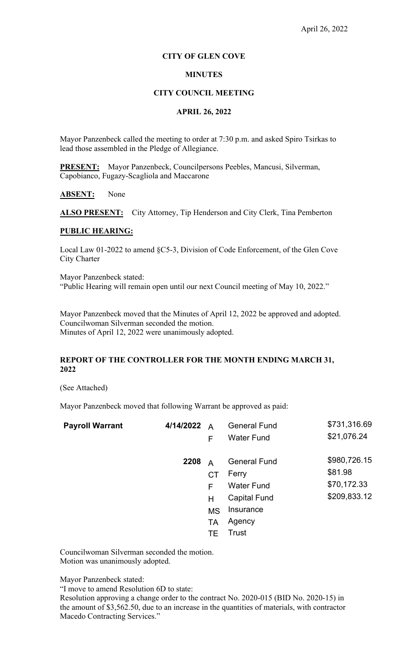# **CITY OF GLEN COVE**

# **MINUTES**

# **CITY COUNCIL MEETING**

# **APRIL 26, 2022**

Mayor Panzenbeck called the meeting to order at 7:30 p.m. and asked Spiro Tsirkas to lead those assembled in the Pledge of Allegiance.

**PRESENT:** Mayor Panzenbeck, Councilpersons Peebles, Mancusi, Silverman, Capobianco, Fugazy-Scagliola and Maccarone

# **ABSENT:** None

ALSO PRESENT: City Attorney, Tip Henderson and City Clerk, Tina Pemberton

# **PUBLIC HEARING:**

Local Law 01-2022 to amend §C5-3, Division of Code Enforcement, of the Glen Cove City Charter

Mayor Panzenbeck stated: "Public Hearing will remain open until our next Council meeting of May 10, 2022."

Mayor Panzenbeck moved that the Minutes of April 12, 2022 be approved and adopted. Councilwoman Silverman seconded the motion. Minutes of April 12, 2022 were unanimously adopted.

# **REPORT OF THE CONTROLLER FOR THE MONTH ENDING MARCH 31, 2022**

(See Attached)

Mayor Panzenbeck moved that following Warrant be approved as paid:

| <b>Payroll Warrant</b> | 4/14/2022 | $\overline{A}$<br>F                                            | <b>General Fund</b><br><b>Water Fund</b>                                                                 | \$731,316.69<br>\$21,076.24                            |
|------------------------|-----------|----------------------------------------------------------------|----------------------------------------------------------------------------------------------------------|--------------------------------------------------------|
|                        | 2208      | $\overline{A}$<br>CT<br>F<br>н<br><b>MS</b><br><b>TA</b><br>TE | <b>General Fund</b><br>Ferry<br><b>Water Fund</b><br><b>Capital Fund</b><br>Insurance<br>Agency<br>Trust | \$980,726.15<br>\$81.98<br>\$70,172.33<br>\$209,833.12 |

Councilwoman Silverman seconded the motion. Motion was unanimously adopted.

Mayor Panzenbeck stated:

"I move to amend Resolution 6D to state:

Resolution approving a change order to the contract No. 2020-015 (BID No. 2020-15) in the amount of \$3,562.50, due to an increase in the quantities of materials, with contractor Macedo Contracting Services."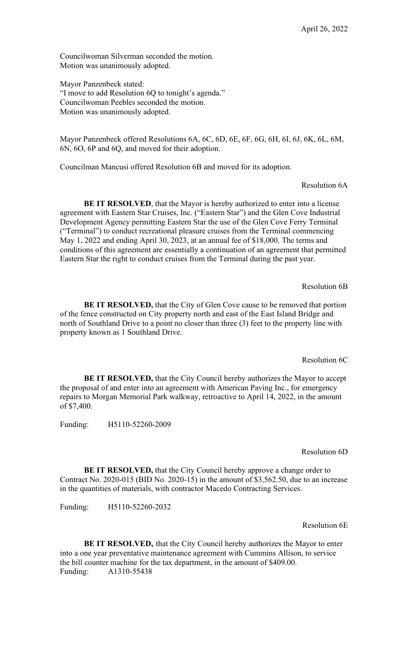Councilwoman Silverman seconded the motion. Motion was unanimously adopted.

Mayor Panzenbeck stated: "I move to add Resolution 6Q to tonight's agenda." Councilwoman Peebles seconded the motion. Motion was unanimously adopted.

Mayor Panzenbeck offered Resolutions 6A, 6C, 6D, 6E, 6F, 6G, 6H, 6I, 6J, 6K, 6L, 6M, 6N, 6O, 6P and 6Q, and moved for their adoption.

Councilman Mancusi offered Resolution 6B and moved for its adoption.

Resolution 6A

**BE IT RESOLVED**, that the Mayor is hereby authorized to enter into a license agreement with Eastern Star Cruises, Inc. ("Eastern Star") and the Glen Cove Industrial Development Agency permitting Eastern Star the use of the Glen Cove Ferry Terminal ("Terminal") to conduct recreational pleasure cruises from the Terminal commencing May 1, 2022 and ending April 30, 2023, at an annual fee of \$18,000. The terms and conditions of this agreement are essentially a continuation of an agreement that permitted Eastern Star the right to conduct cruises from the Terminal during the past year.

Resolution 6B

**BE IT RESOLVED,** that the City of Glen Cove cause to be removed that portion of the fence constructed on City property north and east of the East Island Bridge and north of Southland Drive to a point no closer than three (3) feet to the property line with property known as 1 Southland Drive.

Resolution 6C

**BE IT RESOLVED,** that the City Council hereby authorizes the Mayor to accept the proposal of and enter into an agreement with American Paving Inc., for emergency repairs to Morgan Memorial Park walkway, retroactive to April 14, 2022, in the amount of \$7,400.

Funding: H5110-52260-2009

Resolution 6D

**BE IT RESOLVED,** that the City Council hereby approve a change order to Contract No. 2020-015 (BID No. 2020-15) in the amount of \$3,562.50, due to an increase in the quantities of materials, with contractor Macedo Contracting Services.

Funding: H5110-52260-2032

Resolution 6E

**BE IT RESOLVED,** that the City Council hereby authorizes the Mayor to enter into a one year preventative maintenance agreement with Cummins Allison, to service the bill counter machine for the tax department, in the amount of \$409.00. Funding: A1310-55438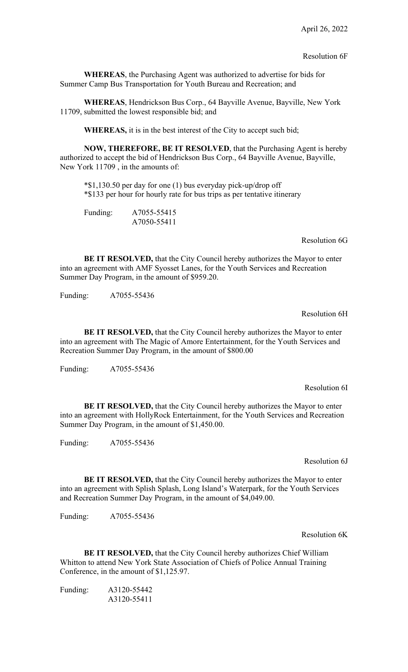**WHEREAS**, the Purchasing Agent was authorized to advertise for bids for Summer Camp Bus Transportation for Youth Bureau and Recreation; and

**WHEREAS**, Hendrickson Bus Corp., 64 Bayville Avenue, Bayville, New York 11709, submitted the lowest responsible bid; and

**WHEREAS,** it is in the best interest of the City to accept such bid;

**NOW, THEREFORE, BE IT RESOLVED**, that the Purchasing Agent is hereby authorized to accept the bid of Hendrickson Bus Corp., 64 Bayville Avenue, Bayville, New York 11709 , in the amounts of:

\*\$1,130.50 per day for one (1) bus everyday pick-up/drop off \*\$133 per hour for hourly rate for bus trips as per tentative itinerary

Funding: A7055-55415 A7050-55411

### Resolution 6G

**BE IT RESOLVED,** that the City Council hereby authorizes the Mayor to enter into an agreement with AMF Syosset Lanes, for the Youth Services and Recreation Summer Day Program, in the amount of \$959.20.

Funding: A7055-55436

# Resolution 6H

**BE IT RESOLVED,** that the City Council hereby authorizes the Mayor to enter into an agreement with The Magic of Amore Entertainment, for the Youth Services and Recreation Summer Day Program, in the amount of \$800.00

Funding: A7055-55436

Resolution 6I

**BE IT RESOLVED, that the City Council hereby authorizes the Mayor to enter** into an agreement with HollyRock Entertainment, for the Youth Services and Recreation Summer Day Program, in the amount of \$1,450.00.

Funding: A7055-55436

#### Resolution 6J

**BE IT RESOLVED,** that the City Council hereby authorizes the Mayor to enter into an agreement with Splish Splash, Long Island's Waterpark, for the Youth Services and Recreation Summer Day Program, in the amount of \$4,049.00.

Funding: A7055-55436

# Resolution 6K

**BE IT RESOLVED,** that the City Council hereby authorizes Chief William Whitton to attend New York State Association of Chiefs of Police Annual Training Conference, in the amount of \$1,125.97.

Funding: A3120-55442 A3120-55411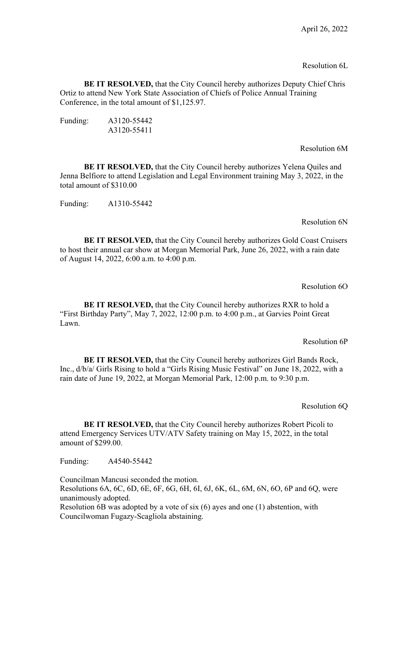# Resolution 6L

**BE IT RESOLVED,** that the City Council hereby authorizes Deputy Chief Chris Ortiz to attend New York State Association of Chiefs of Police Annual Training Conference, in the total amount of \$1,125.97.

| Funding: | A3120-55442 |
|----------|-------------|
|          | A3120-55411 |

# Resolution 6M

**BE IT RESOLVED,** that the City Council hereby authorizes Yelena Quiles and Jenna Belfiore to attend Legislation and Legal Environment training May 3, 2022, in the total amount of \$310.00

Funding: A1310-55442

# Resolution 6N

**BE IT RESOLVED,** that the City Council hereby authorizes Gold Coast Cruisers to host their annual car show at Morgan Memorial Park, June 26, 2022, with a rain date of August 14, 2022, 6:00 a.m. to 4:00 p.m.

Resolution 6O

**BE IT RESOLVED,** that the City Council hereby authorizes RXR to hold a "First Birthday Party", May 7, 2022, 12:00 p.m. to 4:00 p.m., at Garvies Point Great Lawn.

Resolution 6P

**BE IT RESOLVED,** that the City Council hereby authorizes Girl Bands Rock, Inc., d/b/a/ Girls Rising to hold a "Girls Rising Music Festival" on June 18, 2022, with a rain date of June 19, 2022, at Morgan Memorial Park, 12:00 p.m. to 9:30 p.m.

### Resolution 6Q

**BE IT RESOLVED,** that the City Council hereby authorizes Robert Picoli to attend Emergency Services UTV/ATV Safety training on May 15, 2022, in the total amount of \$299.00.

Funding: A4540-55442

Councilman Mancusi seconded the motion. Resolutions 6A, 6C, 6D, 6E, 6F, 6G, 6H, 6I, 6J, 6K, 6L, 6M, 6N, 6O, 6P and 6Q, were unanimously adopted. Resolution 6B was adopted by a vote of six (6) ayes and one (1) abstention, with

Councilwoman Fugazy-Scagliola abstaining.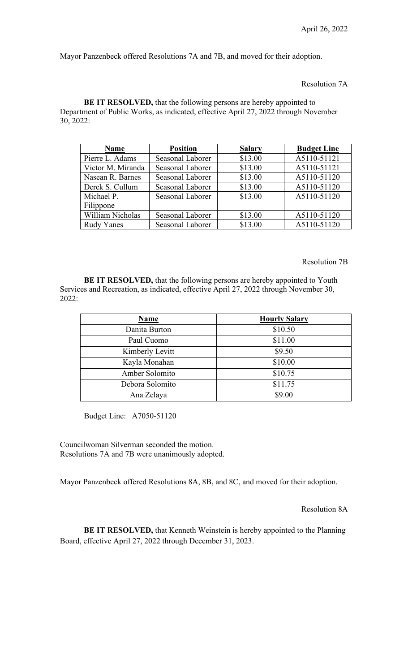Mayor Panzenbeck offered Resolutions 7A and 7B, and moved for their adoption.

Resolution 7A

**BE IT RESOLVED,** that the following persons are hereby appointed to Department of Public Works, as indicated, effective April 27, 2022 through November 30, 2022:

| <b>Name</b>       | <b>Position</b>  | <b>Salary</b> | <b>Budget Line</b> |
|-------------------|------------------|---------------|--------------------|
| Pierre L. Adams   | Seasonal Laborer | \$13.00       | A5110-51121        |
| Victor M. Miranda | Seasonal Laborer | \$13.00       | A5110-51121        |
| Nasean R. Barnes  | Seasonal Laborer | \$13.00       | A5110-51120        |
| Derek S. Cullum   | Seasonal Laborer | \$13.00       | A5110-51120        |
| Michael P.        | Seasonal Laborer | \$13.00       | A5110-51120        |
| Filippone         |                  |               |                    |
| William Nicholas  | Seasonal Laborer | \$13.00       | A5110-51120        |
| <b>Rudy Yanes</b> | Seasonal Laborer | \$13.00       | A5110-51120        |

#### Resolution 7B

**BE IT RESOLVED,** that the following persons are hereby appointed to Youth Services and Recreation, as indicated, effective April 27, 2022 through November 30, 2022:

| <b>Name</b>     | <b>Hourly Salary</b> |
|-----------------|----------------------|
| Danita Burton   | \$10.50              |
| Paul Cuomo      | \$11.00              |
| Kimberly Levitt | \$9.50               |
| Kayla Monahan   | \$10.00              |
| Amber Solomito  | \$10.75              |
| Debora Solomito | \$11.75              |
| Ana Zelaya      | \$9.00               |

Budget Line: A7050-51120

Councilwoman Silverman seconded the motion. Resolutions 7A and 7B were unanimously adopted.

Mayor Panzenbeck offered Resolutions 8A, 8B, and 8C, and moved for their adoption.

Resolution 8A

**BE IT RESOLVED,** that Kenneth Weinstein is hereby appointed to the Planning Board, effective April 27, 2022 through December 31, 2023.